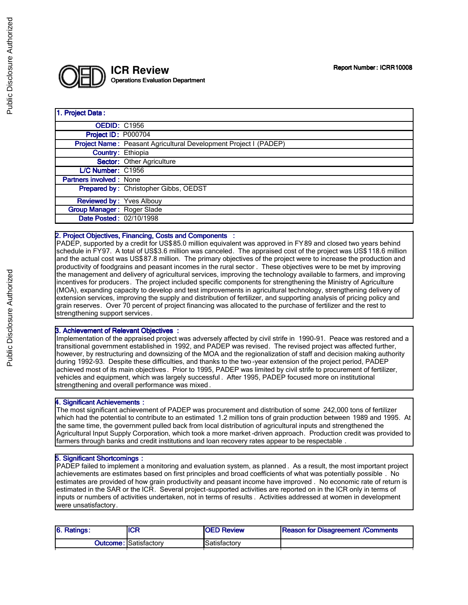

# 1. Project Data: **OEDID: C1956 Project ID: P000704** Project Name: Peasant Agricultural Development Project I (PADEP) Country: Ethiopia Sector: Other Agriculture L/C Number: C1956 Partners involved : None Prepared by: Christopher Gibbs, OEDST Reviewed by: Yves Albouy Group Manager: Roger Slade Date Posted: 02/10/1998

# 2. Project Objectives, Financing, Costs and Components :

PADEP, supported by a credit for US\$85.0 million equivalent was approved in FY89 and closed two years behind schedule in FY97. A total of US\$3.6 million was canceled. The appraised cost of the project was US\$ 118.6 million and the actual cost was US\$87.8 million. The primary objectives of the project were to increase the production and productivity of foodgrains and peasant incomes in the rural sector . These objectives were to be met by improving the management and delivery of agricultural services, improving the technology available to farmers, and improving incentives for producers. The project included specific components for strengthening the Ministry of Agriculture (MOA), expanding capacity to develop and test improvements in agricultural technology, strengthening delivery of extension services, improving the supply and distribution of fertilizer, and supporting analysis of pricing policy and grain reserves. Over 70 percent of project financing was allocated to the purchase of fertilizer and the rest to strengthening support services.

### 3. Achievement of Relevant Objectives :

Implementation of the appraised project was adversely affected by civil strife in 1990-91. Peace was restored and a transitional government established in 1992, and PADEP was revised. The revised project was affected further, however, by restructuring and downsizing of the MOA and the regionalization of staff and decision making authority during 1992-93. Despite these difficulties, and thanks to the two -year extension of the project period, PADEP achieved most of its main objectives. Prior to 1995, PADEP was limited by civil strife to procurement of fertilizer, vehicles and equipment, which was largely successful . After 1995, PADEP focused more on institutional strengthening and overall performance was mixed .

#### 4. Significant Achievements :

The most significant achievement of PADEP was procurement and distribution of some 242,000 tons of fertilizer which had the potential to contribute to an estimated 1.2 million tons of grain production between 1989 and 1995. At the same time, the government pulled back from local distribution of agricultural inputs and strengthened the Agricultural Input Supply Corporation, which took a more market -driven approach. Production credit was provided to farmers through banks and credit institutions and loan recovery rates appear to be respectable .

#### 5. Significant Shortcomings :

PADEP failed to implement a monitoring and evaluation system, as planned . As a result, the most important project achievements are estimates based on first principles and broad coefficients of what was potentially possible . No estimates are provided of how grain productivity and peasant income have improved . No economic rate of return is estimated in the SAR or the ICR. Several project-supported activities are reported on in the ICR only in terms of inputs or numbers of activities undertaken, not in terms of results . Activities addressed at women in development were unsatisfactory.

| 6. Ratings: | <b>ICR</b>                    | <b>OED Review</b> | <b>Reason for Disagreement /Comments</b> |
|-------------|-------------------------------|-------------------|------------------------------------------|
|             | <b>Outcome: ISatisfactory</b> | Satisfactory      |                                          |